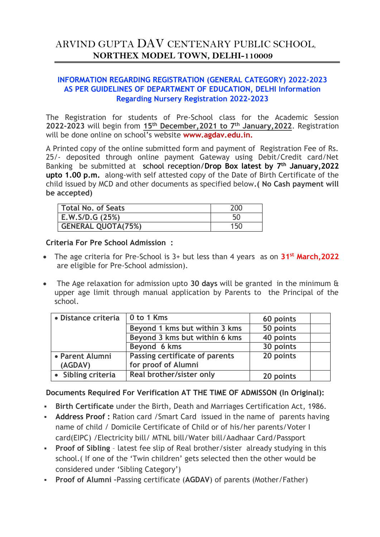# ARVIND GUPTA DAV CENTENARY PUBLIC SCHOOL, **NORTHEX MODEL TOWN, DELHI-110009**

# **INFORMATION REGARDING REGISTRATION (GENERAL CATEGORY) 2022-2023 AS PER GUIDELINES OF DEPARTMENT OF EDUCATION, DELHI Information Regarding Nursery Registration 2022-2023**

The Registration for students of Pre-School class for the Academic Session **2022-2023** will begin from **15 th December,2021 to 7th January,2022**. Registration will be done online on school's website **www.agdav.edu.in.**

A Printed copy of the online submitted form and payment of Registration Fee of Rs. 25/- deposited through online payment Gateway using Debit/Credit card/Net Banking be submitted at school reception/**Drop Box latest by 7 th January,2022 upto 1.00 p.m.** along-with self attested copy of the Date of Birth Certificate of the child issued by MCD and other documents as specified below**.( No Cash payment will be accepted)**

| <b>Total No. of Seats</b> | 200 |
|---------------------------|-----|
| E.W.S/D.G (25%)           | 50  |
| <b>GENERAL QUOTA(75%)</b> | 150 |

**Criteria For Pre School Admission :**

- The age criteria for Pre-School is 3+ but less than 4 years as on **31st March,2022** are eligible for Pre-School admission).
- The Age relaxation for admission upto **30 days** will be granted in the minimum & upper age limit through manual application by Parents to the Principal of the school.

| • Distance criteria        | 0 to 1 Kms                                            | 60 points |
|----------------------------|-------------------------------------------------------|-----------|
|                            | Beyond 1 kms but within 3 kms                         | 50 points |
|                            | Beyond 3 kms but within 6 kms                         | 40 points |
|                            | Beyond 6 kms                                          | 30 points |
| • Parent Alumni<br>(AGDAV) | Passing certificate of parents<br>for proof of Alumni | 20 points |
| • Sibling criteria         | Real brother/sister only                              | 20 points |

# **Documents Required For Verification AT THE TIME OF ADMISSON (In Original):**

- **Birth Certificate** under the Birth, Death and Marriages Certification Act, 1986.
- **Address Proof :** Ration card / Smart Card issued in the name of parents having name of child / Domicile Certificate of Child or of his/her parents/Voter I card(EIPC) /Electricity bill/ MTNL bill/Water bill/Aadhaar Card/Passport
- **Proof of Sibling** latest fee slip of Real brother/sister already studying in this school.( If one of the 'Twin children' gets selected then the other would be considered under 'Sibling Category')
- **Proof of Alumni –**Passing certificate (**AGDAV**) of parents (Mother/Father)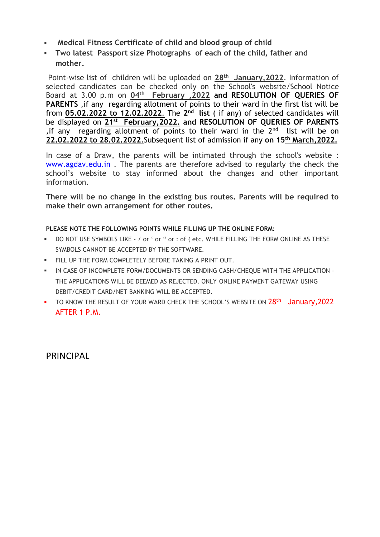- **Medical Fitness Certificate of child and blood group of child**
- **Two latest Passport size Photographs of each of the child, father and mother.**

Point-wise list of children will be uploaded on **28th January,2022**. Information of selected candidates can be checked only on the School's website/School Notice Board at 3.00 p.m on **04th February ,2022 and RESOLUTION OF QUERIES OF PARENTS** ,if any regarding allotment of points to their ward in the first list will be from 05.02.2022 to 12.02.2022. The 2<sup>nd</sup> list (if any) of selected candidates will be displayed on 21<sup>st</sup> February, 2022. and RESOLUTION OF QUERIES OF PARENTS , if any regarding allotment of points to their ward in the  $2<sup>nd</sup>$  list will be on **22.02.2022 to 28.02.2022**.Subsequent list of admission if any **on 15th March,2022.**

In case of a Draw, the parents will be intimated through the school's website : [www.agdav.edu.in](http://www.agdav.edu.in/) . The parents are therefore advised to regularly the check the school's website to stay informed about the changes and other important information.

**There will be no change in the existing bus routes. Parents will be required to make their own arrangement for other routes.**

#### **PLEASE NOTE THE FOLLOWING POINTS WHILE FILLING UP THE ONLINE FORM:**

- DO NOT USE SYMBOLS LIKE / or ' or ' or : of ( etc. WHILE FILLING THE FORM ONLINE AS THESE SYMBOLS CANNOT BE ACCEPTED BY THE SOFTWARE.
- **FILL UP THE FORM COMPLETELY BEFORE TAKING A PRINT OUT.**
- IN CASE OF INCOMPLETE FORM/DOCUMENTS OR SENDING CASH/CHEQUE WITH THE APPLICATION THE APPLICATIONS WILL BE DEEMED AS REJECTED. ONLY ONLINE PAYMENT GATEWAY USING DEBIT/CREDIT CARD/NET BANKING WILL BE ACCEPTED.
- TO KNOW THE RESULT OF YOUR WARD CHECK THE SCHOOL'S WEBSITE ON 28<sup>th</sup> January, 2022 AFTER 1 P.M.

PRINCIPAL